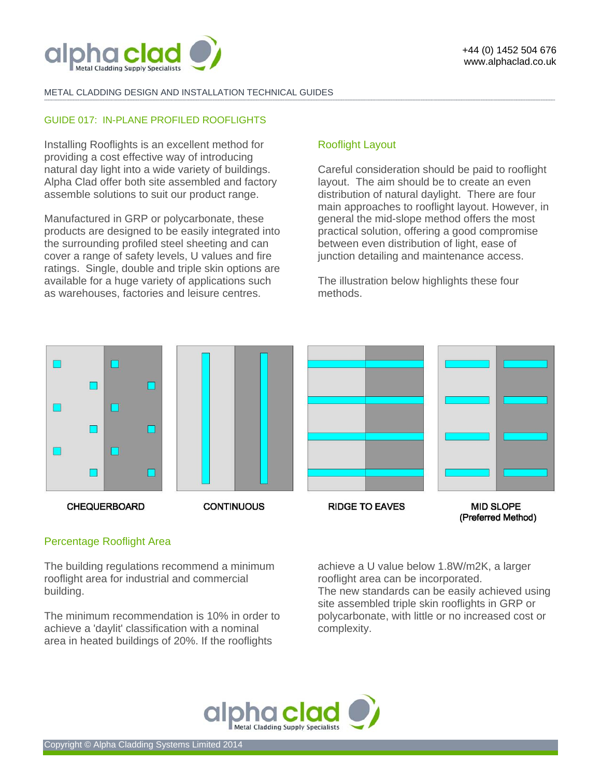

## METAL CLADDING DESIGN AND INSTALLATION TECHNICAL GUIDES

#### GUIDE 017: IN-PLANE PROFILED ROOFLIGHTS

Installing Rooflights is an excellent method for providing a cost effective way of introducing natural day light into a wide variety of buildings. Alpha Clad offer both site assembled and factory assemble solutions to suit our product range.

Manufactured in GRP or polycarbonate, these products are designed to be easily integrated into the surrounding profiled steel sheeting and can cover a range of safety levels, U values and fire ratings. Single, double and triple skin options are available for a huge variety of applications such as warehouses, factories and leisure centres.

# Rooflight Layout

**-------------------------------------------------------------------------------------------------------------------------------------------------------------------------------------------------------------------------------------------------------------------------------------------------------------------------------------------------------------------------------------------------------** 

Careful consideration should be paid to rooflight layout. The aim should be to create an even distribution of natural daylight. There are four main approaches to rooflight layout. However, in general the mid-slope method offers the most practical solution, offering a good compromise between even distribution of light, ease of junction detailing and maintenance access.

The illustration below highlights these four methods.



# Percentage Rooflight Area

The building regulations recommend a minimum rooflight area for industrial and commercial building.

The minimum recommendation is 10% in order to achieve a 'daylit' classification with a nominal area in heated buildings of 20%. If the rooflights

achieve a U value below 1.8W/m2K, a larger rooflight area can be incorporated. The new standards can be easily achieved using site assembled triple skin rooflights in GRP or polycarbonate, with little or no increased cost or complexity.

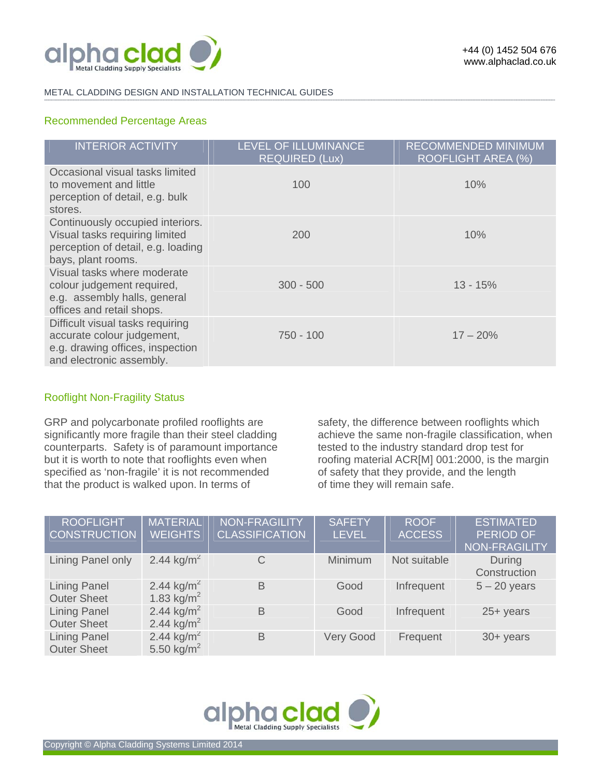

#### METAL CLADDING DESIGN AND INSTALLATION TECHNICAL GUIDES **-------------------------------------------------------------------------------------------------------------------------------------------------------------------------------------------------------------------------------------------------------------------------------------------------------------------------------------------------------------------------------------------------------**

# Recommended Percentage Areas

| <b>INTERIOR ACTIVITY</b>                                                                                                       | <b>LEVEL OF ILLUMINANCE</b><br><b>REQUIRED (Lux)</b> | <b>RECOMMENDED MINIMUM</b><br>ROOFLIGHT AREA (%) |
|--------------------------------------------------------------------------------------------------------------------------------|------------------------------------------------------|--------------------------------------------------|
| Occasional visual tasks limited<br>to movement and little<br>perception of detail, e.g. bulk<br>stores.                        | 100                                                  | 10%                                              |
| Continuously occupied interiors.<br>Visual tasks requiring limited<br>perception of detail, e.g. loading<br>bays, plant rooms. | 200                                                  | 10%                                              |
| Visual tasks where moderate<br>colour judgement required,<br>e.g. assembly halls, general<br>offices and retail shops.         | $300 - 500$                                          | $13 - 15%$                                       |
| Difficult visual tasks requiring<br>accurate colour judgement,<br>e.g. drawing offices, inspection<br>and electronic assembly. | $750 - 100$                                          | $17 - 20%$                                       |

# Rooflight Non-Fragility Status

GRP and polycarbonate profiled rooflights are significantly more fragile than their steel cladding counterparts. Safety is of paramount importance but it is worth to note that rooflights even when specified as 'non-fragile' it is not recommended that the product is walked upon. In terms of

safety, the difference between rooflights which achieve the same non-fragile classification, when tested to the industry standard drop test for roofing material ACR[M] 001:2000, is the margin of safety that they provide, and the length of time they will remain safe.

| <b>ROOFLIGHT</b><br><b>CONSTRUCTION</b>   | <b>MATERIAL</b><br><b>WEIGHTS</b>                | <b>NON-FRAGILITY</b><br><b>CLASSIFICATION</b> | <b>SAFETY</b><br><b>LEVEL</b> | <b>ROOF</b><br><b>ACCESS</b> | <b>ESTIMATED</b><br>PERIOD OF<br>NON-FRAGILITY |
|-------------------------------------------|--------------------------------------------------|-----------------------------------------------|-------------------------------|------------------------------|------------------------------------------------|
| Lining Panel only                         | 2.44 kg/m <sup>2</sup>                           | C                                             | Minimum                       | Not suitable                 | During<br>Construction                         |
| <b>Lining Panel</b><br><b>Outer Sheet</b> | 2.44 kg/m <sup>2</sup><br>1.83 kg/ $m^2$         | B                                             | Good                          | Infrequent                   | $5 - 20$ years                                 |
| <b>Lining Panel</b><br><b>Outer Sheet</b> | 2.44 kg/m <sup>2</sup><br>2.44 kg/m <sup>2</sup> | B                                             | Good                          | Infrequent                   | $25 + years$                                   |
| <b>Lining Panel</b><br><b>Outer Sheet</b> | 2.44 kg/m <sup>2</sup><br>5.50 kg/ $m^2$         | B                                             | <b>Very Good</b>              | Frequent                     | $30 + \text{years}$                            |

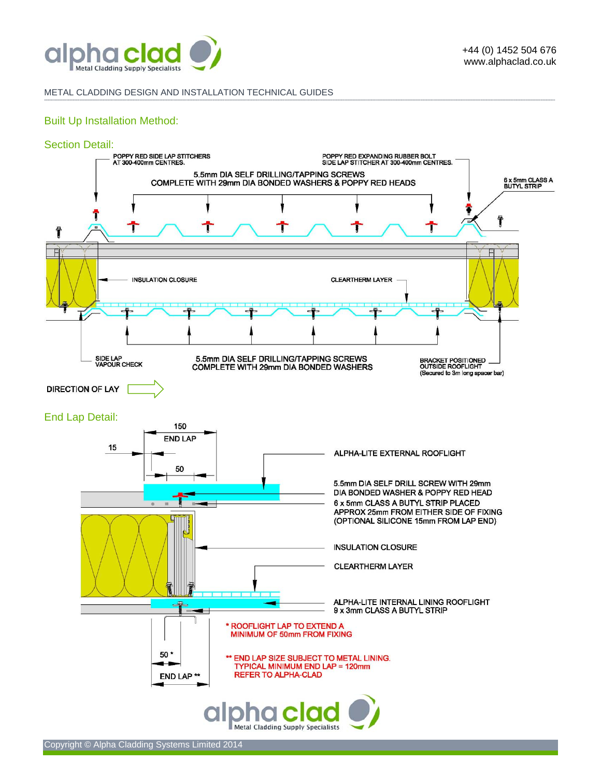

#### METAL CLADDING DESIGN AND INSTALLATION TECHNICAL GUIDES

# Built Up Installation Method:



**-------------------------------------------------------------------------------------------------------------------------------------------------------------------------------------------------------------------------------------------------------------------------------------------------------------------------------------------------------------------------------------------------------**